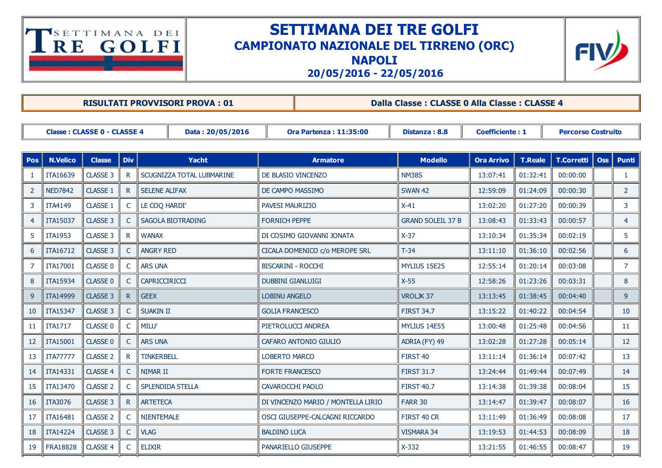## TSETTIMANA DEI

## SETTIMANA DEI TRE GOLFI CAMPIONATO NAZIONALE DEL TIRRENO (ORC)





20/05/2016 22/05/2016

|                                                        |                 |                 |              | <b>RISULTATI PROVVISORI PROVA: 01</b> |                           | Dalla Classe : CLASSE 0 Alla Classe : CLASSE 4 |                          |                        |                           |            |                 |                 |
|--------------------------------------------------------|-----------------|-----------------|--------------|---------------------------------------|---------------------------|------------------------------------------------|--------------------------|------------------------|---------------------------|------------|-----------------|-----------------|
|                                                        |                 |                 |              |                                       |                           |                                                |                          |                        |                           |            |                 |                 |
| <b>Classe: CLASSE 0 - CLASSE 4</b><br>Data: 20/05/2016 |                 |                 |              |                                       |                           | <b>Ora Partenza: 11:35:00</b>                  | Distanza: 8.8            | <b>Coefficiente: 1</b> | <b>Percorso Costruito</b> |            |                 |                 |
|                                                        |                 |                 |              |                                       |                           |                                                |                          |                        |                           |            |                 |                 |
| Pos                                                    | <b>N.Velico</b> | <b>Classe</b>   | <b>Div</b>   | Yacht                                 |                           | <b>Armatore</b>                                | <b>Modello</b>           | <b>Ora Arrivo</b>      | <b>T.Reale</b>            | T.Corretti | $\mathbf{O}$ ss | Punti           |
| $\mathbf{1}$                                           | ITA16639        | CLASSE 3        | R.           | SCUGNIZZA TOTAL LUBMARINE             |                           | DE BLASIO VINCENZO                             | <b>NM38S</b>             | 13:07:41               | 01:32:41                  | 00:00:00   |                 | $\mathbf{1}$    |
| 2                                                      | <b>NED7842</b>  | CLASSE 1        | $\mathsf{R}$ | <b>SELENE ALIFAX</b>                  | DE CAMPO MASSIMO          |                                                | <b>SWAN 42</b>           | 12:59:09               | 01:24:09                  | 00:00:30   |                 | $2^{\circ}$     |
| 3                                                      | <b>ITA4149</b>  | CLASSE 1        | C            | LE COQ HARDI'                         | <b>PAVESI MAURIZIO</b>    |                                                | $X-41$                   | 13:02:20               | 01:27:20                  | 00:00:39   |                 | 3               |
| $\overline{4}$                                         | ITA15037        | CLASSE 3        | C            | SAGOLA BIOTRADING                     | <b>FORNICH PEPPE</b>      |                                                | <b>GRAND SOLEIL 37 B</b> | 13:08:43               | 01:33:43                  | 00:00:57   |                 | $\overline{4}$  |
| 5                                                      | <b>ITA1953</b>  | CLASSE 3        | R.           | <b>WANAX</b>                          | DI COSIMO GIOVANNI JONATA |                                                | $X-37$                   | 13:10:34               | 01:35:34                  | 00:02:19   |                 | 5               |
| 6                                                      | ITA16712        | CLASSE 3        | C.           | <b>ANGRY RED</b>                      |                           | CICALA DOMENICO c/o MEROPE SRL                 | $T-34$                   | 13:11:10               | 01:36:10                  | 00:02:56   |                 | 6               |
| 7                                                      | ITA17001        | CLASSE 0        | C            | <b>ARS UNA</b>                        | BISCARINI - ROCCHI        |                                                | MYLIUS 15E25             | 12:55:14               | 01:20:14                  | 00:03:08   |                 | $7^{\circ}$     |
| 8                                                      | ITA15934        | CLASSE 0        | $\mathsf{C}$ | CAPRICCIRICCI                         | <b>DUBBINI GIANLUIGI</b>  |                                                | $X-55$                   | 12:58:26               | 01:23:26                  | 00:03:31   |                 | 8               |
| 9                                                      | ITA14999        | CLASSE 3        | R            | <b>GEEX</b>                           | <b>LOBINU ANGELO</b>      |                                                | VROLJK37                 | 13:13:45               | 01:38:45                  | 00:04:40   |                 | 9 <sup>°</sup>  |
| 10                                                     | ITA15347        | CLASSE 3        | C.           | <b>SUAKIN II</b>                      | <b>GOLIA FRANCESCO</b>    |                                                | <b>FIRST 34.7</b>        | 13:15:22               | 01:40:22                  | 00:04:54   |                 | 10 <sup>°</sup> |
| 11                                                     | <b>ITA1717</b>  | <b>CLASSE 0</b> | C            | MILU'                                 |                           | PIETROLUCCI ANDREA                             | MYLIUS 14E55             | 13:00:48               | 01:25:48                  | 00:04:56   |                 | 11              |
| 12                                                     | ITA15001        | <b>CLASSE 0</b> | $\mathsf{C}$ | <b>ARS UNA</b>                        |                           | CAFARO ANTONIO GIULIO                          | ADRIA (FY) 49            | 13:02:28               | 01:27:28                  | 00:05:14   |                 | 12              |
| 13                                                     | <b>ITA77777</b> | <b>CLASSE 2</b> |              | <b>TINKERBELL</b>                     | <b>LOBERTO MARCO</b>      |                                                | FIRST 40                 | 13:11:14               | 01:36:14                  | 00:07:42   |                 | 13              |
| 14                                                     | ITA14331        | CLASSE 4        |              | NIMAR II                              | <b>FORTE FRANCESCO</b>    |                                                | <b>FIRST 31.7</b>        | 13:24:44               | 01:49:44                  | 00:07:49   |                 | 14              |
| 15                                                     | ITA13470        | <b>CLASSE 2</b> |              | <b>SPLENDIDA STELLA</b>               | <b>CAVAROCCHI PAOLO</b>   |                                                | <b>FIRST 40.7</b>        | 13:14:38               | 01:39:38                  | 00:08:04   |                 | 15              |
| 16                                                     | ITA3076         | CLASSE 3        | R.           | <b>ARTETECA</b>                       |                           | DI VINCENZO MARIO / MONTELLA LIRIO             | <b>FARR 30</b>           | 13:14:47               | 01:39:47                  | 00:08:07   |                 | 16              |
| 17                                                     | ITA16481        | <b>CLASSE 2</b> | C            | <b>NIENTEMALE</b>                     |                           | OSCI GIUSEPPE-CALCAGNI RICCARDO                | FIRST 40 CR              | 13:11:49               | 01:36:49                  | 00:08:08   |                 | 17              |
| 18                                                     | <b>ITA14224</b> | CLASSE 3        | C            | <b>VLAG</b>                           | <b>BALDINO LUCA</b>       |                                                | <b>VISMARA 34</b>        | 13:19:53               | 01:44:53                  | 00:08:09   |                 | 18              |
| 19                                                     | FRA18828        | CLASSE 4        | $\subset$    | <b>ELIXIR</b>                         |                           | PANARIELLO GIUSEPPE                            | $X-332$                  | 13:21:55               | 01:46:55                  | 00:08:47   |                 | 19              |